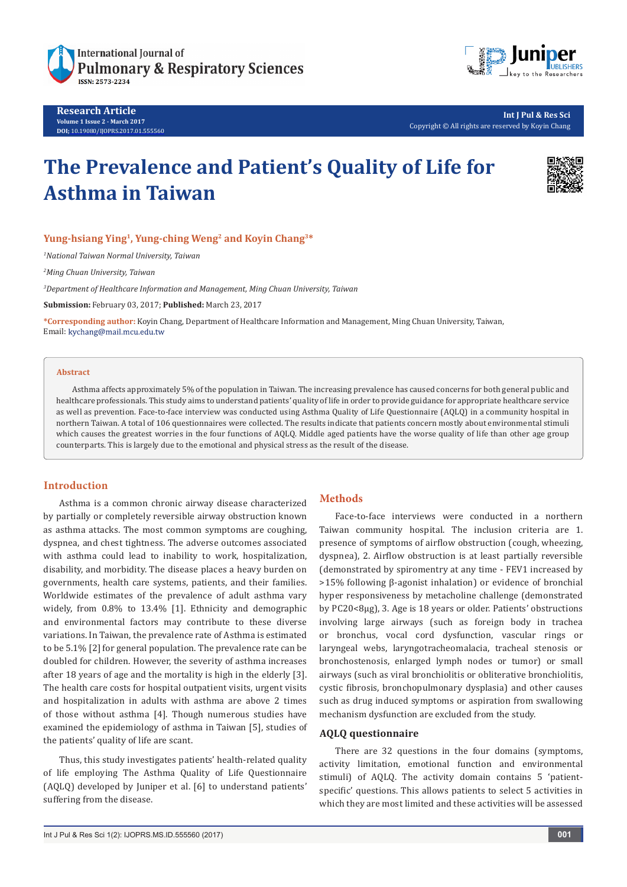

**Research Article Volume 1 Issue 2 - March 2017 DOI;** [10.19080/IJOPRS.2017.01.555560](http://dx.doi.org/10.19080/IJOPRS.2017.01.555560
)



**Int J Pul & Res Sci** Copyright © All rights are reserved by Koyin Chang

# **The Prevalence and Patient's Quality of Life for Asthma in Taiwan**



# **Yung-hsiang Ying1, Yung-ching Weng2 and Koyin Chang3\***

*1 National Taiwan Normal University, Taiwan*

*2 Ming Chuan University, Taiwan*

*3 Department of Healthcare Information and Management, Ming Chuan University, Taiwan*

**Submission:** February 03, 2017; **Published:** March 23, 2017

**\*Corresponding author:** Koyin Chang, Department of Healthcare Information and Management, Ming Chuan University, Taiwan, Email: kychang@mail.mcu.edu.tw

#### **Abstract**

Asthma affects approximately 5% of the population in Taiwan. The increasing prevalence has caused concerns for both general public and healthcare professionals. This study aims to understand patients' quality of life in order to provide guidance for appropriate healthcare service as well as prevention. Face-to-face interview was conducted using Asthma Quality of Life Questionnaire (AQLQ) in a community hospital in northern Taiwan. A total of 106 questionnaires were collected. The results indicate that patients concern mostly about environmental stimuli which causes the greatest worries in the four functions of AQLQ. Middle aged patients have the worse quality of life than other age group counterparts. This is largely due to the emotional and physical stress as the result of the disease.

## **Introduction**

Asthma is a common chronic airway disease characterized by partially or completely reversible airway obstruction known as asthma attacks. The most common symptoms are coughing, dyspnea, and chest tightness. The adverse outcomes associated with asthma could lead to inability to work, hospitalization, disability, and morbidity. The disease places a heavy burden on governments, health care systems, patients, and their families. Worldwide estimates of the prevalence of adult asthma vary widely, from 0.8% to 13.4% [1]. Ethnicity and demographic and environmental factors may contribute to these diverse variations. In Taiwan, the prevalence rate of Asthma is estimated to be 5.1% [2] for general population. The prevalence rate can be doubled for children. However, the severity of asthma increases after 18 years of age and the mortality is high in the elderly [3]. The health care costs for hospital outpatient visits, urgent visits and hospitalization in adults with asthma are above 2 times of those without asthma [4]. Though numerous studies have examined the epidemiology of asthma in Taiwan [5], studies of the patients' quality of life are scant.

Thus, this study investigates patients' health-related quality of life employing The Asthma Quality of Life Questionnaire (AQLQ) developed by Juniper et al. [6] to understand patients' suffering from the disease.

### **Methods**

Face-to-face interviews were conducted in a northern Taiwan community hospital. The inclusion criteria are 1. presence of symptoms of airflow obstruction (cough, wheezing, dyspnea), 2. Airflow obstruction is at least partially reversible (demonstrated by spiromentry at any time - FEV1 increased by >15% following β-agonist inhalation) or evidence of bronchial hyper responsiveness by metacholine challenge (demonstrated by PC20<8μg), 3. Age is 18 years or older. Patients' obstructions involving large airways (such as foreign body in trachea or bronchus, vocal cord dysfunction, vascular rings or laryngeal webs, laryngotracheomalacia, tracheal stenosis or bronchostenosis, enlarged lymph nodes or tumor) or small airways (such as viral bronchiolitis or obliterative bronchiolitis, cystic fibrosis, bronchopulmonary dysplasia) and other causes such as drug induced symptoms or aspiration from swallowing mechanism dysfunction are excluded from the study.

#### **AQLQ questionnaire**

There are 32 questions in the four domains (symptoms, activity limitation, emotional function and environmental stimuli) of AQLQ. The activity domain contains 5 'patientspecific' questions. This allows patients to select 5 activities in which they are most limited and these activities will be assessed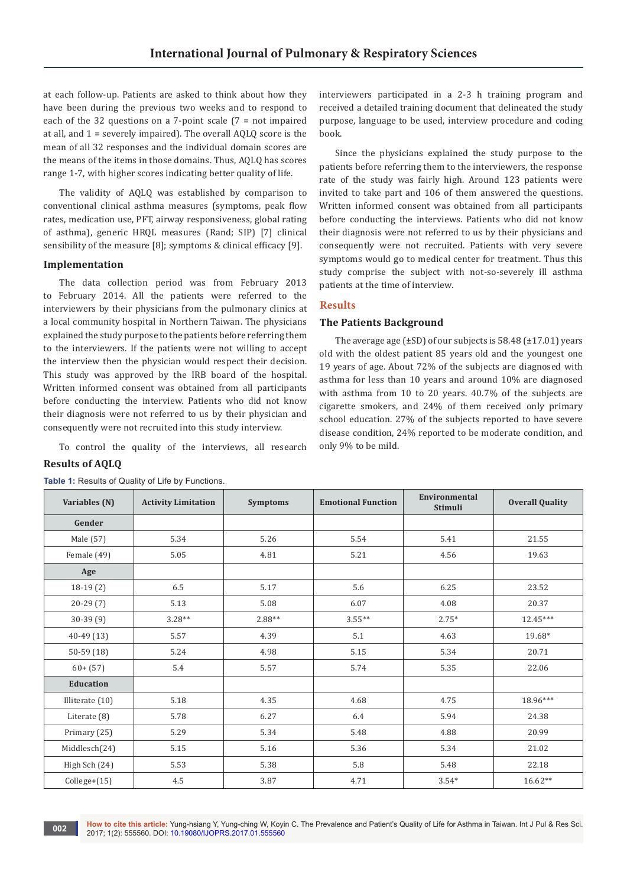at each follow-up. Patients are asked to think about how they have been during the previous two weeks and to respond to each of the 32 questions on a 7-point scale (7 = not impaired at all, and 1 = severely impaired). The overall AQLQ score is the mean of all 32 responses and the individual domain scores are the means of the items in those domains. Thus, AQLQ has scores range 1-7, with higher scores indicating better quality of life.

The validity of AQLQ was established by comparison to conventional clinical asthma measures (symptoms, peak flow rates, medication use, PFT, airway responsiveness, global rating of asthma), generic HRQL measures (Rand; SIP) [7] clinical sensibility of the measure [8]; symptoms & clinical efficacy [9].

### **Implementation**

The data collection period was from February 2013 to February 2014. All the patients were referred to the interviewers by their physicians from the pulmonary clinics at a local community hospital in Northern Taiwan. The physicians explained the study purpose to the patients before referring them to the interviewers. If the patients were not willing to accept the interview then the physician would respect their decision. This study was approved by the IRB board of the hospital. Written informed consent was obtained from all participants before conducting the interview. Patients who did not know their diagnosis were not referred to us by their physician and consequently were not recruited into this study interview.

To control the quality of the interviews, all research

## **Results of AQLQ**

|  |  |  |  |  |  |  | Table 1: Results of Quality of Life by Functions. |
|--|--|--|--|--|--|--|---------------------------------------------------|
|--|--|--|--|--|--|--|---------------------------------------------------|

interviewers participated in a 2-3 h training program and received a detailed training document that delineated the study purpose, language to be used, interview procedure and coding book.

Since the physicians explained the study purpose to the patients before referring them to the interviewers, the response rate of the study was fairly high. Around 123 patients were invited to take part and 106 of them answered the questions. Written informed consent was obtained from all participants before conducting the interviews. Patients who did not know their diagnosis were not referred to us by their physicians and consequently were not recruited. Patients with very severe symptoms would go to medical center for treatment. Thus this study comprise the subject with not-so-severely ill asthma patients at the time of interview.

### **Results**

### **The Patients Background**

The average age  $(\pm SD)$  of our subjects is 58.48  $(\pm 17.01)$  years old with the oldest patient 85 years old and the youngest one 19 years of age. About 72% of the subjects are diagnosed with asthma for less than 10 years and around 10% are diagnosed with asthma from 10 to 20 years. 40.7% of the subjects are cigarette smokers, and 24% of them received only primary school education. 27% of the subjects reported to have severe disease condition, 24% reported to be moderate condition, and only 9% to be mild.

| Variables (N)   | <b>Activity Limitation</b> | <b>Emotional Function</b><br><b>Symptoms</b> |           | Environmental<br><b>Stimuli</b> | <b>Overall Quality</b> |
|-----------------|----------------------------|----------------------------------------------|-----------|---------------------------------|------------------------|
| Gender          |                            |                                              |           |                                 |                        |
| Male (57)       | 5.34                       | 5.26                                         | 5.54      | 5.41                            | 21.55                  |
| Female (49)     | 5.05                       | 4.81                                         | 5.21      | 4.56                            | 19.63                  |
| Age             |                            |                                              |           |                                 |                        |
| $18-19(2)$      | 6.5                        | 5.17                                         | 5.6       | 6.25                            | 23.52                  |
| $20 - 29(7)$    | 5.13                       | 5.08                                         | 6.07      | 4.08                            | 20.37                  |
| $30-39(9)$      | $3.28**$                   | $2.88**$                                     | $3.55***$ | $2.75*$                         | $12.45***$             |
| $40-49(13)$     | 5.57                       | 4.39                                         | 5.1       | 4.63                            | 19.68*                 |
| $50-59(18)$     | 5.24                       | 4.98                                         | 5.15      | 5.34                            | 20.71                  |
| $60 + (57)$     | 5.4                        | 5.57                                         | 5.74      | 5.35                            | 22.06                  |
| Education       |                            |                                              |           |                                 |                        |
| Illiterate (10) | 5.18                       | 4.35                                         | 4.68      | 4.75                            | 18.96***               |
| Literate (8)    | 5.78                       | 6.27                                         | 6.4       | 5.94                            | 24.38                  |
| Primary (25)    | 5.29                       | 5.34                                         | 5.48      | 4.88                            | 20.99                  |
| Middlesch(24)   | 5.15                       | 5.16                                         | 5.36      | 5.34                            | 21.02                  |
| High Sch (24)   | 5.53                       | 5.38                                         | 5.8       | 5.48                            | 22.18                  |
| Collect(15)     | 4.5                        | 3.87                                         | 4.71      | $3.54*$                         | $16.62**$              |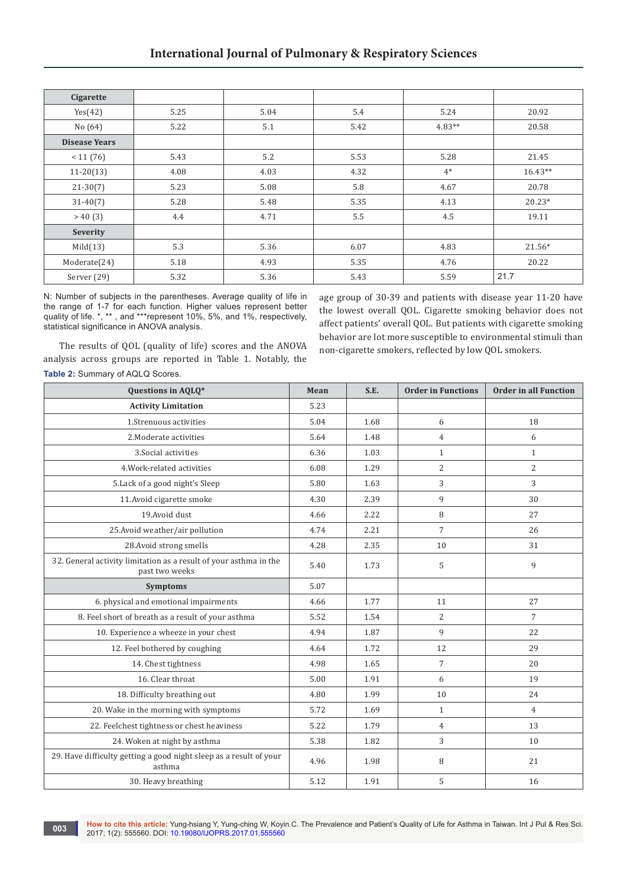| Cigarette            |      |      |      |          |           |
|----------------------|------|------|------|----------|-----------|
| Yes(42)              | 5.25 | 5.04 | 5.4  | 5.24     | 20.92     |
| No (64)              | 5.22 | 5.1  | 5.42 | $4.83**$ | 20.58     |
| <b>Disease Years</b> |      |      |      |          |           |
| < 11(76)             | 5.43 | 5.2  | 5.53 | 5.28     | 21.45     |
| $11-20(13)$          | 4.08 | 4.03 | 4.32 | $4*$     | $16.43**$ |
| $21 - 30(7)$         | 5.23 | 5.08 | 5.8  | 4.67     | 20.78     |
| $31 - 40(7)$         | 5.28 | 5.48 | 5.35 | 4.13     | $20.23*$  |
| >40(3)               | 4.4  | 4.71 | 5.5  | 4.5      | 19.11     |
| Severity             |      |      |      |          |           |
| Mid(13)              | 5.3  | 5.36 | 6.07 | 4.83     | $21.56*$  |
| Moderate(24)         | 5.18 | 4.93 | 5.35 | 4.76     | 20.22     |
| Server (29)          | 5.32 | 5.36 | 5.43 | 5.59     | 21.7      |

N: Number of subjects in the parentheses. Average quality of life in the range of 1-7 for each function. Higher values represent better quality of life. \*, \*\* , and \*\*\*represent 10%, 5%, and 1%, respectively, statistical significance in ANOVA analysis.

age group of 30-39 and patients with disease year 11-20 have the lowest overall QOL. Cigarette smoking behavior does not affect patients' overall QOL. But patients with cigarette smoking behavior are lot more susceptible to environmental stimuli than non-cigarette smokers, reflected by low QOL smokers.

The results of QOL (quality of life) scores and the ANOVA analysis across groups are reported in Table 1. Notably, the **Table 2:** Summary of AQLQ Scores.

| Questions in AQLQ*                                                                  | Mean | S.E. | <b>Order in Functions</b> | <b>Order in all Function</b> |
|-------------------------------------------------------------------------------------|------|------|---------------------------|------------------------------|
| <b>Activity Limitation</b>                                                          | 5.23 |      |                           |                              |
| 1.Strenuous activities                                                              | 5.04 | 1.68 | 6                         | 18                           |
| 2. Moderate activities                                                              | 5.64 | 1.48 | $\overline{4}$            | 6                            |
| 3. Social activities                                                                | 6.36 | 1.03 | $\mathbf{1}$              | $\mathbf{1}$                 |
| 4. Work-related activities                                                          | 6.08 | 1.29 | $\overline{c}$            | 2                            |
| 5. Lack of a good night's Sleep                                                     | 5.80 | 1.63 | 3                         | 3                            |
| 11. Avoid cigarette smoke                                                           | 4.30 | 2.39 | 9                         | 30                           |
| 19. Avoid dust                                                                      | 4.66 | 2.22 | 8                         | 27                           |
| 25. Avoid weather/air pollution                                                     | 4.74 | 2.21 | $\overline{7}$            | 26                           |
| 28. Avoid strong smells                                                             | 4.28 | 2.35 | 10                        | 31                           |
| 32. General activity limitation as a result of your asthma in the<br>past two weeks | 5.40 | 1.73 | 5                         | 9                            |
| <b>Symptoms</b>                                                                     | 5.07 |      |                           |                              |
| 6. physical and emotional impairments                                               | 4.66 | 1.77 | 11                        | 27                           |
| 8. Feel short of breath as a result of your asthma                                  | 5.52 | 1.54 | 2                         | 7                            |
| 10. Experience a wheeze in your chest                                               | 4.94 | 1.87 | 9                         | 22                           |
| 12. Feel bothered by coughing                                                       | 4.64 | 1.72 | 12                        | 29                           |
| 14. Chest tightness                                                                 | 4.98 | 1.65 | $\overline{7}$            | 20                           |
| 16. Clear throat                                                                    | 5.00 | 1.91 | 6                         | 19                           |
| 18. Difficulty breathing out                                                        | 4.80 | 1.99 | 10                        | 24                           |
| 20. Wake in the morning with symptoms                                               | 5.72 | 1.69 | $\mathbf{1}$              | $\overline{4}$               |
| 22. Feelchest tightness or chest heaviness                                          | 5.22 | 1.79 | $\overline{4}$            | 13                           |
| 24. Woken at night by asthma                                                        | 5.38 | 1.82 | 3                         | 10                           |
| 29. Have difficulty getting a good night sleep as a result of your<br>asthma        | 4.96 | 1.98 | 8                         | 21                           |
| 30. Heavy breathing                                                                 | 5.12 | 1.91 | 5                         | 16                           |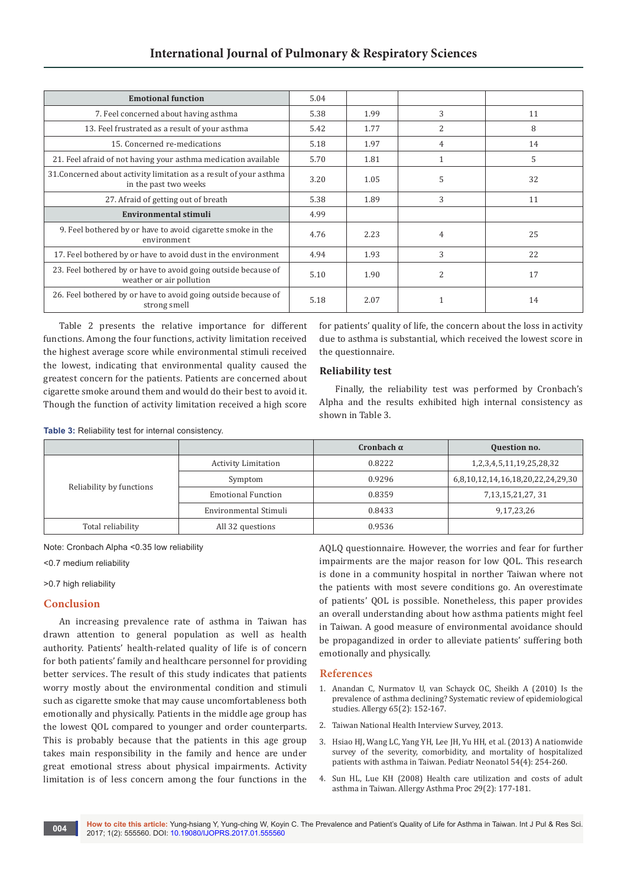| <b>Emotional function</b>                                                                   | 5.04 |      |                |    |
|---------------------------------------------------------------------------------------------|------|------|----------------|----|
| 7. Feel concerned about having asthma                                                       | 5.38 | 1.99 | 3              | 11 |
| 13. Feel frustrated as a result of your asthma                                              | 5.42 | 1.77 | $\overline{c}$ | 8  |
| 15. Concerned re-medications                                                                | 5.18 | 1.97 | 4              | 14 |
| 21. Feel afraid of not having your asthma medication available                              | 5.70 | 1.81 |                | 5  |
| 31. Concerned about activity limitation as a result of your asthma<br>in the past two weeks | 3.20 | 1.05 | 5              | 32 |
| 27. Afraid of getting out of breath                                                         | 5.38 | 1.89 | 3              | 11 |
| Environmental stimuli                                                                       | 4.99 |      |                |    |
| 9. Feel bothered by or have to avoid cigarette smoke in the<br>environment                  | 4.76 | 2.23 | $\overline{4}$ | 25 |
| 17. Feel bothered by or have to avoid dust in the environment                               | 4.94 | 1.93 | 3              | 22 |
| 23. Feel bothered by or have to avoid going outside because of<br>weather or air pollution  | 5.10 | 1.90 | $\overline{c}$ | 17 |
| 26. Feel bothered by or have to avoid going outside because of<br>strong smell              | 5.18 | 2.07 |                | 14 |

Table 2 presents the relative importance for different functions. Among the four functions, activity limitation received the highest average score while environmental stimuli received the lowest, indicating that environmental quality caused the greatest concern for the patients. Patients are concerned about cigarette smoke around them and would do their best to avoid it. Though the function of activity limitation received a high score for patients' quality of life, the concern about the loss in activity due to asthma is substantial, which received the lowest score in the questionnaire.

# **Reliability test**

Finally, the reliability test was performed by Cronbach's Alpha and the results exhibited high internal consistency as shown in Table 3.

**Table 3:** Reliability test for internal consistency.

|                          |                            | Cronbach $\alpha$ | <b>Question no.</b>               |
|--------------------------|----------------------------|-------------------|-----------------------------------|
| Reliability by functions | <b>Activity Limitation</b> | 0.8222            | 1,2,3,4,5,11,19,25,28,32          |
|                          | Symptom                    | 0.9296            | 6,8,10,12,14,16,18,20,22,24,29,30 |
|                          | <b>Emotional Function</b>  | 0.8359            | 7, 13, 15, 21, 27, 31             |
|                          | Environmental Stimuli      | 0.8433            | 9,17,23,26                        |
| Total reliability        | All 32 questions           | 0.9536            |                                   |

Note: Cronbach Alpha <0.35 low reliability

<0.7 medium reliability

#### >0.7 high reliability

## **Conclusion**

An increasing prevalence rate of asthma in Taiwan has drawn attention to general population as well as health authority. Patients' health-related quality of life is of concern for both patients' family and healthcare personnel for providing better services. The result of this study indicates that patients worry mostly about the environmental condition and stimuli such as cigarette smoke that may cause uncomfortableness both emotionally and physically. Patients in the middle age group has the lowest QOL compared to younger and order counterparts. This is probably because that the patients in this age group takes main responsibility in the family and hence are under great emotional stress about physical impairments. Activity limitation is of less concern among the four functions in the

AQLQ questionnaire. However, the worries and fear for further impairments are the major reason for low QOL. This research is done in a community hospital in norther Taiwan where not the patients with most severe conditions go. An overestimate of patients' QOL is possible. Nonetheless, this paper provides an overall understanding about how asthma patients might feel in Taiwan. A good measure of environmental avoidance should be propagandized in order to alleviate patients' suffering both emotionally and physically.

### **References**

- 1. [Anandan C, Nurmatov U, van Schayck OC, Sheikh A \(2010\) Is the](https://www.ncbi.nlm.nih.gov/pubmed/19912154)  [prevalence of asthma declining? Systematic review of epidemiological](https://www.ncbi.nlm.nih.gov/pubmed/19912154)  [studies. Allergy 65\(2\): 152-167.](https://www.ncbi.nlm.nih.gov/pubmed/19912154)
- 2. [Taiwan National Health Interview Survey, 2013.](http://www.mohw.gov.tw/MOHW_Upload/doc/%E6%96%B0%E8%81%9E%E7%A8%BF%E9%99%84%E4%BB%B6-%E5%9C%8B%E4%BA%BA%E6%B0%A3%E5%96%98%E7%9B%9B%E8%A1%8C%E7%8E%87_0054463002.pdf)
- 3. [Hsiao HJ, Wang LC, Yang YH, Lee JH, Yu HH, et al. \(2013\) A nationwide](https://www.ncbi.nlm.nih.gov/pubmed/23597519)  [survey of the severity, comorbidity, and mortality of hospitalized](https://www.ncbi.nlm.nih.gov/pubmed/23597519)  [patients with asthma in Taiwan. Pediatr Neonatol 54\(4\): 254-260.](https://www.ncbi.nlm.nih.gov/pubmed/23597519)
- 4. [Sun HL, Lue KH \(2008\) Health care utilization and costs of adult](https://www.ncbi.nlm.nih.gov/pubmed/18430316)  [asthma in Taiwan. Allergy Asthma Proc 29\(2\): 177-181.](https://www.ncbi.nlm.nih.gov/pubmed/18430316)